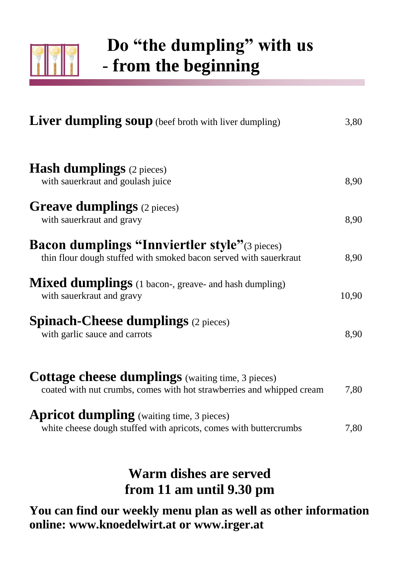

#### **Do "the dumpling" with us** - **from the beginning**

| <b>Liver dumpling soup</b> (beef broth with liver dumpling)                                                                       | 3,80  |
|-----------------------------------------------------------------------------------------------------------------------------------|-------|
| <b>Hash dumplings</b> (2 pieces)                                                                                                  |       |
| with sauerkraut and goulash juice                                                                                                 | 8,90  |
| <b>Greave dumplings</b> (2 pieces)<br>with sauerkraut and gravy                                                                   | 8,90  |
| <b>Bacon dumplings "Innviertler style"</b> (3 pieces)<br>thin flour dough stuffed with smoked bacon served with sauerkraut        | 8,90  |
| <b>Mixed dumplings</b> (1 bacon-, greave- and hash dumpling)<br>with sauerkraut and gravy                                         | 10,90 |
| <b>Spinach-Cheese dumplings</b> $(2 \text{ pieces})$<br>with garlic sauce and carrots                                             | 8,90  |
| <b>Cottage cheese dumplings</b> (waiting time, 3 pieces)<br>coated with nut crumbs, comes with hot strawberries and whipped cream | 7,80  |
| <b>Apricot dumpling</b> (waiting time, 3 pieces)<br>white cheese dough stuffed with apricots, comes with buttercrumbs             | 7,80  |
|                                                                                                                                   |       |

#### **Warm dishes are served from 11 am until 9.30 pm**

**You can find our weekly menu plan as well as other information online: [www.knoedelwirt.at o](http://www.knoedelwirt.at/)r [www.irger.at](http://www.irger.at/)**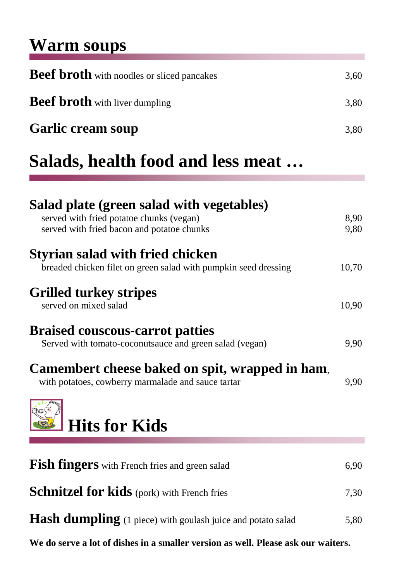#### **Warm soups**

| <b>Beef broth</b> with noodles or sliced pancakes | 3,60 |
|---------------------------------------------------|------|
| <b>Beef broth</b> with liver dumpling             | 3,80 |
| <b>Garlic cream soup</b>                          | 3,80 |

#### **Salads, health food and less meat …**

| Salad plate (green salad with vegetables)<br>served with fried potatoe chunks (vegan)<br>served with fried bacon and potatoe chunks | 8,90<br>9,80 |
|-------------------------------------------------------------------------------------------------------------------------------------|--------------|
| Styrian salad with fried chicken<br>breaded chicken filet on green salad with pumpkin seed dressing                                 | 10,70        |
| <b>Grilled turkey stripes</b><br>served on mixed salad                                                                              | 10,90        |
| <b>Braised couscous-carrot patties</b><br>Served with tomato-coconutsauce and green salad (vegan)                                   | 9,90         |
| Camembert cheese baked on spit, wrapped in ham,<br>with potatoes, cowberry marmalade and sauce tartar                               | 9,90         |
| <b>Hits for Kids</b>                                                                                                                |              |
| <b>Fish fingers</b> with French fries and green salad                                                                               | 6,90         |
|                                                                                                                                     |              |
| <b>Schnitzel for kids</b> (pork) with French fries                                                                                  | 7,30         |
| <b>Hash dumpling</b> (1 piece) with goulash juice and potato salad                                                                  | 5,80         |

**We do serve a lot of dishes in a smaller version as well. Please ask our waiters.**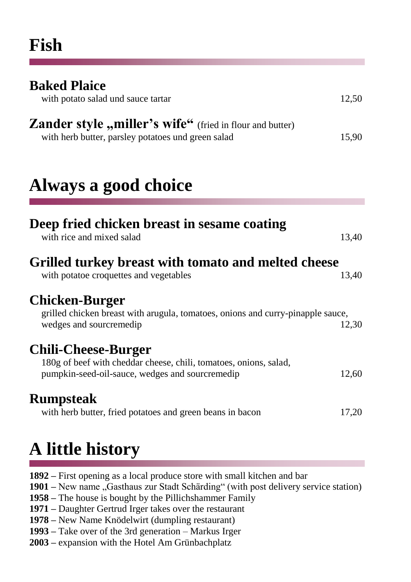| <b>Baked Plaice</b><br>with potato salad und sauce tartar                                                             | 12,50 |
|-----------------------------------------------------------------------------------------------------------------------|-------|
| <b>Zander style "miller's wife"</b> (fried in flour and butter)<br>with herb butter, parsley potatoes und green salad | 15,90 |

#### **Always a good choice**

| Deep fried chicken breast in sesame coating<br>with rice and mixed salad                                                                           | 13,40 |
|----------------------------------------------------------------------------------------------------------------------------------------------------|-------|
| Grilled turkey breast with tomato and melted cheese<br>with potatoe croquettes and vegetables                                                      | 13,40 |
| <b>Chicken-Burger</b><br>grilled chicken breast with arugula, tomatoes, onions and curry-pinapple sauce,<br>wedges and sourcremedip                | 12,30 |
| <b>Chili-Cheese-Burger</b><br>180g of beef with cheddar cheese, chili, tomatoes, onions, salad,<br>pumpkin-seed-oil-sauce, wedges and sourcremedip | 12,60 |
| <b>Rumpsteak</b><br>with herb butter, fried potatoes and green beans in bacon                                                                      | 17,20 |
|                                                                                                                                                    |       |

### **A little history**

- **1892 –** First opening as a local produce store with small kitchen and bar
- **1901** New name "Gasthaus zur Stadt Schärding" (with post delivery service station)
- **1958 –** The house is bought by the Pillichshammer Family
- **1971 –** Daughter Gertrud Irger takes over the restaurant
- **1978 –** New Name Knödelwirt (dumpling restaurant)
- **1993 –** Take over of the 3rd generation Markus Irger
- **2003 –** expansion with the Hotel Am Grünbachplatz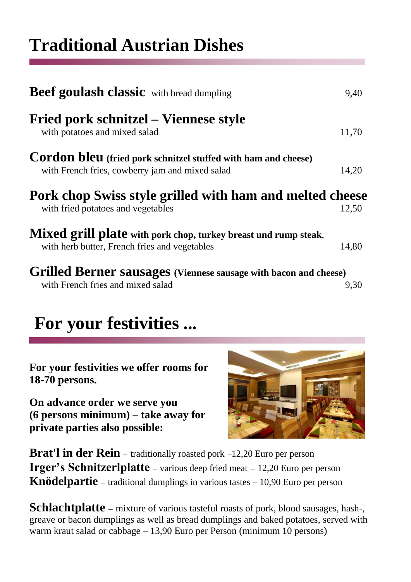#### **Traditional Austrian Dishes**

| <b>Beef goulash classic</b> with bread dumpling                                                                          | 9,40  |
|--------------------------------------------------------------------------------------------------------------------------|-------|
| Fried pork schnitzel – Viennese style<br>with potatoes and mixed salad                                                   | 11,70 |
| <b>Cordon bleu</b> (fried pork schnitzel stuffed with ham and cheese)<br>with French fries, cowberry jam and mixed salad | 14,20 |
| Pork chop Swiss style grilled with ham and melted cheese<br>with fried potatoes and vegetables                           | 12,50 |
| Mixed grill plate with pork chop, turkey breast und rump steak,<br>with herb butter, French fries and vegetables         | 14,80 |
| <b>Grilled Berner sausages</b> (Viennese sausage with bacon and cheese)                                                  |       |

with French fries and mixed salad 9,30

#### **For your festivities ...**

**For your festivities we offer rooms for 18-70 persons.**

**On advance order we serve you (6 persons minimum) – take away for private parties also possible:**



**Brat'l in der Rein** – traditionally roasted pork –12,20 Euro per person **Irger's Schnitzerlplatte** – various deep fried meat – 12,20 Euro per person **Knödelpartie** – traditional dumplings in various tastes – 10,90 Euro per person

**Schlachtplatte** – mixture of various tasteful roasts of pork, blood sausages, hash-, greave or bacon dumplings as well as bread dumplings and baked potatoes, served with warm kraut salad or cabbage – 13,90 Euro per Person (minimum 10 persons)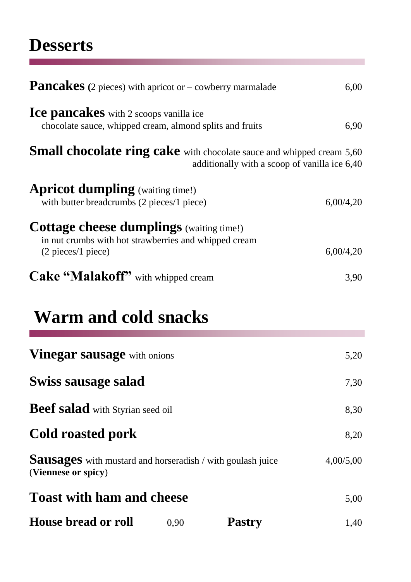#### **Desserts**

| <b>Pancakes</b> (2 pieces) with apricot or $-$ cowberry marmalade                                                                                |                                               | 6,00      |
|--------------------------------------------------------------------------------------------------------------------------------------------------|-----------------------------------------------|-----------|
| <b>Ice pancakes</b> with 2 scoops vanilla ice<br>chocolate sauce, whipped cream, almond splits and fruits                                        |                                               | 6,90      |
| <b>Small chocolate ring cake</b> with chocolate sauce and whipped cream 5,60                                                                     | additionally with a scoop of vanilla ice 6,40 |           |
| <b>Apricot dumpling</b> (waiting time!)<br>with butter breadcrumbs (2 pieces/1 piece)                                                            |                                               | 6,00/4,20 |
| <b>Cottage cheese dumplings</b> (waiting time!)<br>in nut crumbs with hot strawberries and whipped cream<br>$(2 \text{ pieces}/1 \text{ piece})$ |                                               | 6,00/4,20 |
| <b>Cake "Malakoff"</b> with whipped cream                                                                                                        |                                               | 3,90      |
| <b>Warm and cold snacks</b>                                                                                                                      |                                               |           |
| <b>Vinegar sausage</b> with onions                                                                                                               |                                               | 5,20      |
| Swiss sausage salad                                                                                                                              |                                               | 7,30      |
| Beef salad with Styrian seed oil                                                                                                                 |                                               | 8,30      |
| <b>Cold roasted pork</b>                                                                                                                         |                                               | 8,20      |
| <b>Sausages</b> with mustard and horseradish / with goulash juice<br>(Viennese or spicy)                                                         |                                               | 4,00/5,00 |
| <b>Toast with ham and cheese</b>                                                                                                                 |                                               | 5,00      |
| House bread or roll                                                                                                                              | <b>Pastry</b><br>0,90                         | 1,40      |